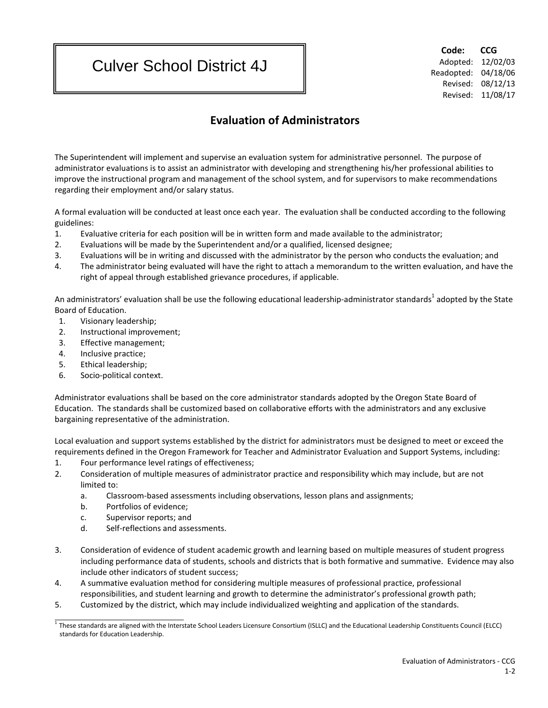## Culver School District 4J

**Code: CCG** Adopted: 12/02/03 Readopted: 04/18/06 Revised: 08/12/13 Revised: 11/08/17

## **Evaluation of Administrators**

The Superintendent will implement and supervise an evaluation system for administrative personnel. The purpose of administrator evaluations is to assist an administrator with developing and strengthening his/her professional abilities to improve the instructional program and management of the school system, and for supervisors to make recommendations regarding their employment and/or salary status.

A formal evaluation will be conducted at least once each year. The evaluation shall be conducted according to the following guidelines:

- 1. Evaluative criteria for each position will be in written form and made available to the administrator;
- 2. Evaluations will be made by the Superintendent and/or a qualified, licensed designee;
- 3. Evaluations will be in writing and discussed with the administrator by the person who conducts the evaluation; and
- 4. The administrator being evaluated will have the right to attach a memorandum to the written evaluation, and have the right of appeal through established grievance procedures, if applicable.

An administrators' evaluation shall be use the following educational leadership-administrator standards<sup>1</sup> adopted by the State Board of Education.

- 1. Visionary leadership;
- 2. Instructional improvement;
- 3. Effective management;
- 4. Inclusive practice;
- 5. Ethical leadership;
- 6. Socio-political context.

Administrator evaluations shall be based on the core administrator standards adopted by the Oregon State Board of Education. The standards shall be customized based on collaborative efforts with the administrators and any exclusive bargaining representative of the administration.

Local evaluation and support systems established by the district for administrators must be designed to meet or exceed the requirements defined in the Oregon Framework for Teacher and Administrator Evaluation and Support Systems, including:

- 1. Four performance level ratings of effectiveness;
- 2. Consideration of multiple measures of administrator practice and responsibility which may include, but are not limited to:
	- a. Classroom-based assessments including observations, lesson plans and assignments;
	- b. Portfolios of evidence;
	- c. Supervisor reports; and
	- d. Self-reflections and assessments.
- 3. Consideration of evidence of student academic growth and learning based on multiple measures of student progress including performance data of students, schools and districts that is both formative and summative. Evidence may also include other indicators of student success;
- 4. A summative evaluation method for considering multiple measures of professional practice, professional responsibilities, and student learning and growth to determine the administrator's professional growth path;
- 5. Customized by the district, which may include individualized weighting and application of the standards.

<sup>&</sup>lt;sup>1</sup> These standards are aligned with the Interstate School Leaders Licensure Consortium (ISLLC) and the Educational Leadership Constituents Council (ELCC) standards for Education Leadership.